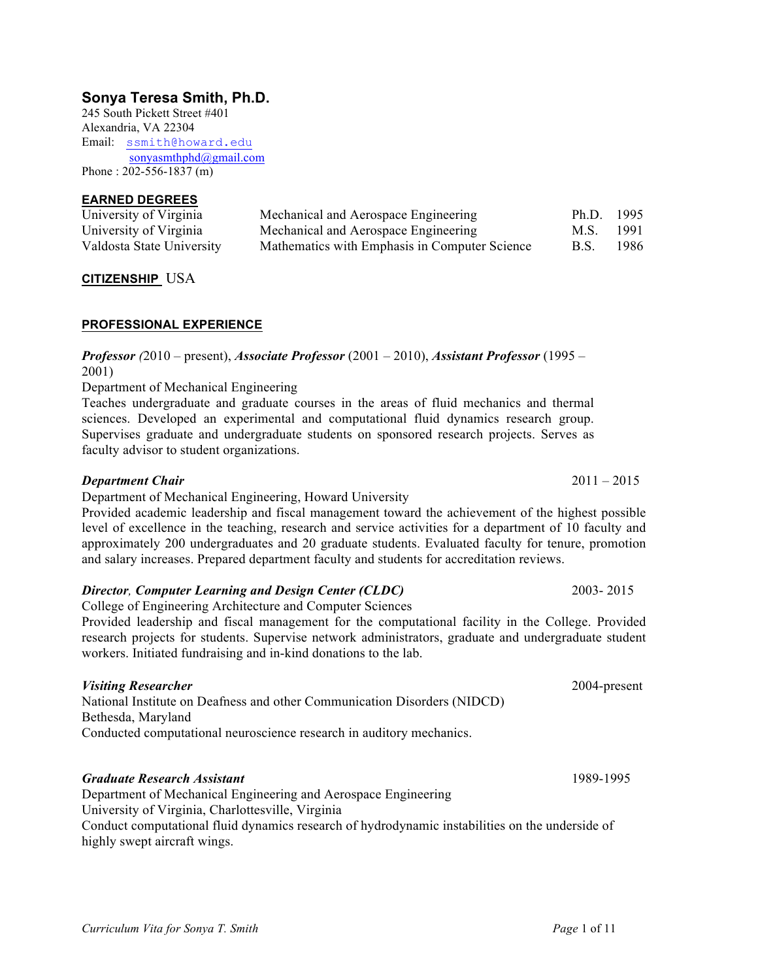## **Sonya Teresa Smith, Ph.D.**

245 South Pickett Street #401 Alexandria, VA 22304 Email: ssmith@howard.edu sonyasmthphd@gmail.com Phone : 202-556-1837 (m)

### **EARNED DEGREES**

| University of Virginia    | Mechanical and Aerospace Engineering          | Ph.D.       | 1995 |
|---------------------------|-----------------------------------------------|-------------|------|
| University of Virginia    | Mechanical and Aerospace Engineering          | M.S.        | 1991 |
| Valdosta State University | Mathematics with Emphasis in Computer Science | <b>B.S.</b> | 1986 |

### **CITIZENSHIP** USA

#### **PROFESSIONAL EXPERIENCE**

*Professor (*2010 – present), *Associate Professor* (2001 – 2010), *Assistant Professor* (1995 – 2001)

### Department of Mechanical Engineering

Teaches undergraduate and graduate courses in the areas of fluid mechanics and thermal sciences. Developed an experimental and computational fluid dynamics research group. Supervises graduate and undergraduate students on sponsored research projects. Serves as faculty advisor to student organizations.

#### *Department Chair* 2011 – 2015

### Department of Mechanical Engineering, Howard University

Provided academic leadership and fiscal management toward the achievement of the highest possible level of excellence in the teaching, research and service activities for a department of 10 faculty and approximately 200 undergraduates and 20 graduate students. Evaluated faculty for tenure, promotion and salary increases. Prepared department faculty and students for accreditation reviews.

#### *Director, Computer Learning and Design Center (CLDC)* 2003- 2015

College of Engineering Architecture and Computer Sciences

Provided leadership and fiscal management for the computational facility in the College. Provided research projects for students. Supervise network administrators, graduate and undergraduate student workers. Initiated fundraising and in-kind donations to the lab.

### *Visiting Researcher* 2004-present

National Institute on Deafness and other Communication Disorders (NIDCD) Bethesda, Maryland Conducted computational neuroscience research in auditory mechanics.

### *Graduate Research Assistant* 1989-1995

Department of Mechanical Engineering and Aerospace Engineering University of Virginia, Charlottesville, Virginia Conduct computational fluid dynamics research of hydrodynamic instabilities on the underside of highly swept aircraft wings.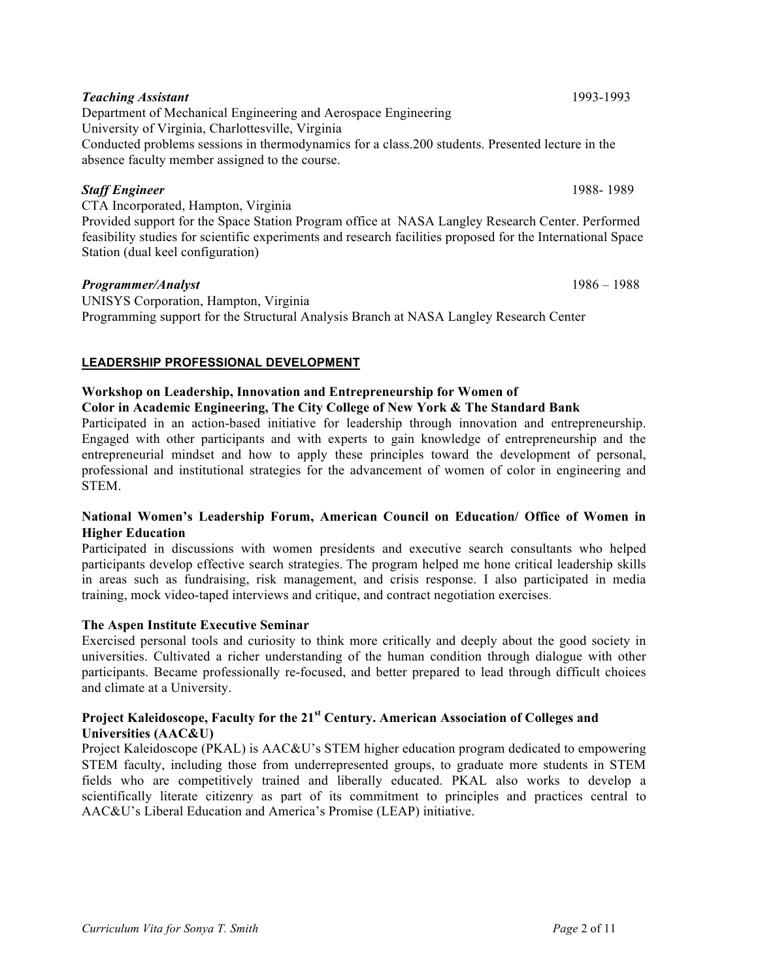# *Teaching Assistant* 1993-1993

Department of Mechanical Engineering and Aerospace Engineering University of Virginia, Charlottesville, Virginia Conducted problems sessions in thermodynamics for a class.200 students. Presented lecture in the absence faculty member assigned to the course.

# *Staff Engineer* 1988- 1989

CTA Incorporated, Hampton, Virginia

Provided support for the Space Station Program office at NASA Langley Research Center. Performed feasibility studies for scientific experiments and research facilities proposed for the International Space Station (dual keel configuration)

# *Programmer/Analyst* 1986 – 1988

UNISYS Corporation, Hampton, Virginia Programming support for the Structural Analysis Branch at NASA Langley Research Center

## **LEADERSHIP PROFESSIONAL DEVELOPMENT**

## **Workshop on Leadership, Innovation and Entrepreneurship for Women of Color in Academic Engineering, The City College of New York & The Standard Bank**

Participated in an action-based initiative for leadership through innovation and entrepreneurship. Engaged with other participants and with experts to gain knowledge of entrepreneurship and the entrepreneurial mindset and how to apply these principles toward the development of personal, professional and institutional strategies for the advancement of women of color in engineering and STEM.

## **National Women's Leadership Forum, American Council on Education/ Office of Women in Higher Education**

Participated in discussions with women presidents and executive search consultants who helped participants develop effective search strategies. The program helped me hone critical leadership skills in areas such as fundraising, risk management, and crisis response. I also participated in media training, mock video-taped interviews and critique, and contract negotiation exercises.

## **The Aspen Institute Executive Seminar**

Exercised personal tools and curiosity to think more critically and deeply about the good society in universities. Cultivated a richer understanding of the human condition through dialogue with other participants. Became professionally re-focused, and better prepared to lead through difficult choices and climate at a University.

## **Project Kaleidoscope, Faculty for the 21st Century. American Association of Colleges and Universities (AAC&U)**

Project Kaleidoscope (PKAL) is AAC&U's STEM higher education program dedicated to empowering STEM faculty, including those from underrepresented groups, to graduate more students in STEM fields who are competitively trained and liberally educated. PKAL also works to develop a scientifically literate citizenry as part of its commitment to principles and practices central to AAC&U's Liberal Education and America's Promise (LEAP) initiative.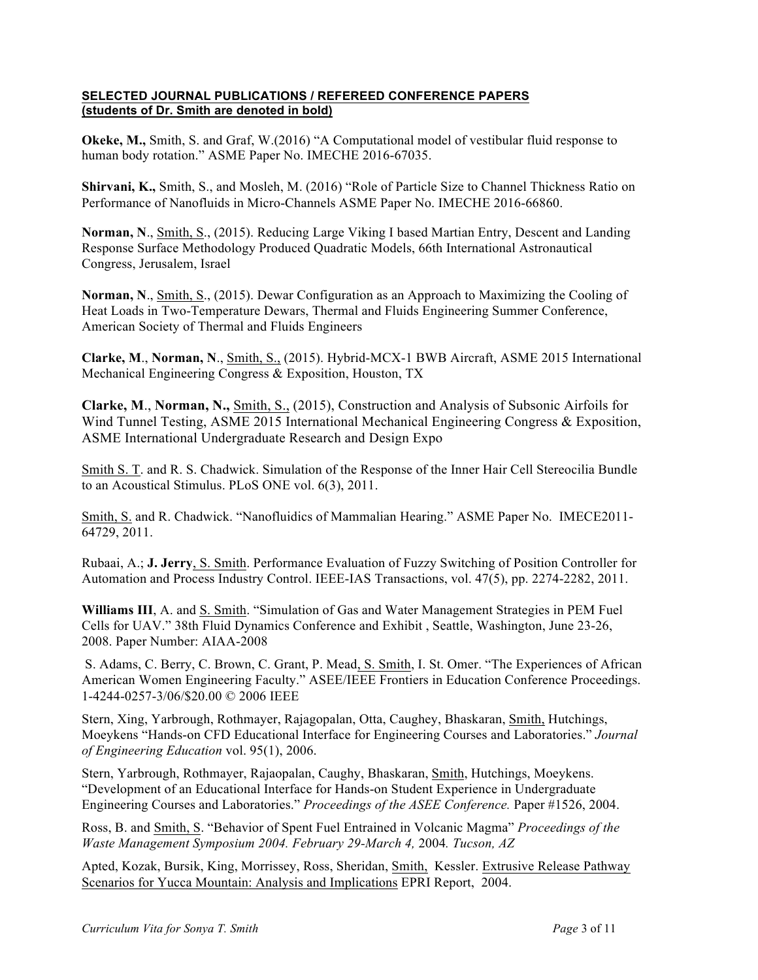### **SELECTED JOURNAL PUBLICATIONS / REFEREED CONFERENCE PAPERS (students of Dr. Smith are denoted in bold)**

**Okeke, M.,** Smith, S. and Graf, W.(2016) "A Computational model of vestibular fluid response to human body rotation." ASME Paper No. IMECHE 2016-67035.

**Shirvani, K.,** Smith, S., and Mosleh, M. (2016) "Role of Particle Size to Channel Thickness Ratio on Performance of Nanofluids in Micro-Channels ASME Paper No. IMECHE 2016-66860.

**Norman, N**., Smith, S., (2015). Reducing Large Viking I based Martian Entry, Descent and Landing Response Surface Methodology Produced Quadratic Models, 66th International Astronautical Congress, Jerusalem, Israel

**Norman, N**., Smith, S., (2015). Dewar Configuration as an Approach to Maximizing the Cooling of Heat Loads in Two-Temperature Dewars, Thermal and Fluids Engineering Summer Conference, American Society of Thermal and Fluids Engineers

**Clarke, M**., **Norman, N**., Smith, S., (2015). Hybrid-MCX-1 BWB Aircraft, ASME 2015 International Mechanical Engineering Congress & Exposition, Houston, TX

**Clarke, M**., **Norman, N.,** Smith, S., (2015), Construction and Analysis of Subsonic Airfoils for Wind Tunnel Testing, ASME 2015 International Mechanical Engineering Congress & Exposition, ASME International Undergraduate Research and Design Expo

Smith S. T. and R. S. Chadwick. Simulation of the Response of the Inner Hair Cell Stereocilia Bundle to an Acoustical Stimulus. PLoS ONE vol. 6(3), 2011.

Smith, S. and R. Chadwick. "Nanofluidics of Mammalian Hearing." ASME Paper No. IMECE2011- 64729, 2011.

Rubaai, A.; **J. Jerry**, S. Smith. Performance Evaluation of Fuzzy Switching of Position Controller for Automation and Process Industry Control. IEEE-IAS Transactions, vol. 47(5), pp. 2274-2282, 2011.

**Williams III**, A. and S. Smith. "Simulation of Gas and Water Management Strategies in PEM Fuel Cells for UAV." 38th Fluid Dynamics Conference and Exhibit , Seattle, Washington, June 23-26, 2008. Paper Number: AIAA-2008

S. Adams, C. Berry, C. Brown, C. Grant, P. Mead, S. Smith, I. St. Omer. "The Experiences of African American Women Engineering Faculty." ASEE/IEEE Frontiers in Education Conference Proceedings. 1-4244-0257-3/06/\$20.00 © 2006 IEEE

Stern, Xing, Yarbrough, Rothmayer, Rajagopalan, Otta, Caughey, Bhaskaran, Smith, Hutchings, Moeykens "Hands-on CFD Educational Interface for Engineering Courses and Laboratories." *Journal of Engineering Education* vol. 95(1), 2006.

Stern, Yarbrough, Rothmayer, Rajaopalan, Caughy, Bhaskaran, Smith, Hutchings, Moeykens. "Development of an Educational Interface for Hands-on Student Experience in Undergraduate Engineering Courses and Laboratories." *Proceedings of the ASEE Conference.* Paper #1526, 2004.

Ross, B. and Smith, S. "Behavior of Spent Fuel Entrained in Volcanic Magma" *Proceedings of the Waste Management Symposium 2004. February 29-March 4,* 2004*. Tucson, AZ*

Apted, Kozak, Bursik, King, Morrissey, Ross, Sheridan, Smith, Kessler. Extrusive Release Pathway Scenarios for Yucca Mountain: Analysis and Implications EPRI Report, 2004.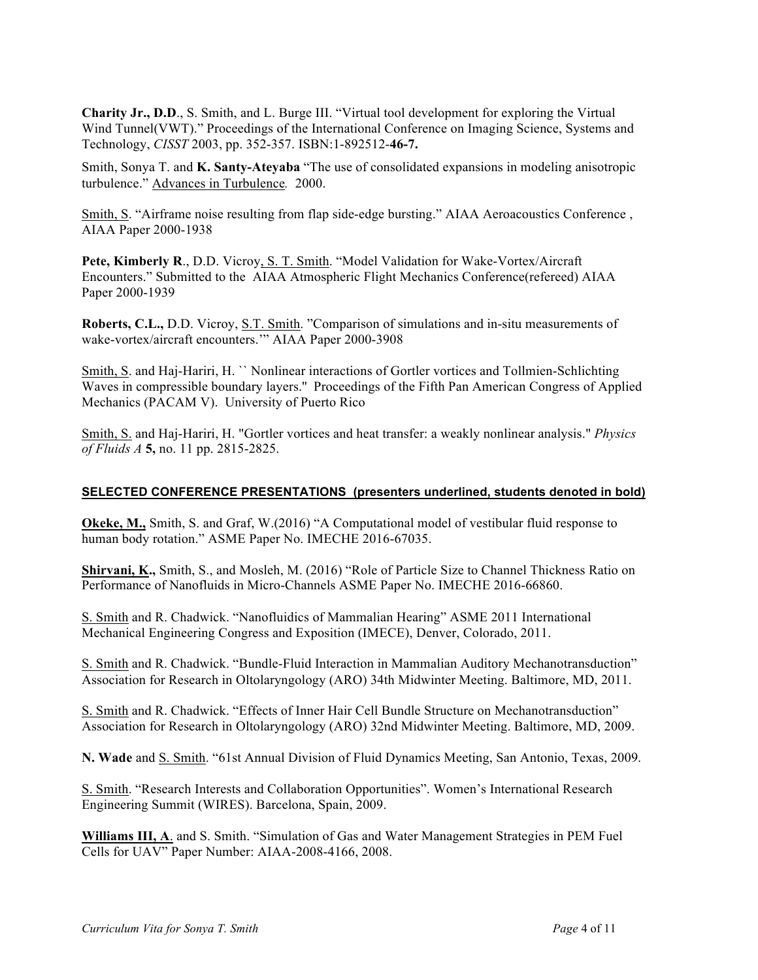**Charity Jr., D.D**., S. Smith, and L. Burge III. "Virtual tool development for exploring the Virtual Wind Tunnel(VWT)." Proceedings of the International Conference on Imaging Science, Systems and Technology, *CISST* 2003, pp. 352-357. ISBN:1-892512-**46-7.**

Smith, Sonya T. and **K. Santy-Ateyaba** "The use of consolidated expansions in modeling anisotropic turbulence." Advances in Turbulence*.* 2000.

Smith, S. "Airframe noise resulting from flap side-edge bursting." AIAA Aeroacoustics Conference , AIAA Paper 2000-1938

**Pete, Kimberly R**., D.D. Vicroy, S. T. Smith. "Model Validation for Wake-Vortex/Aircraft Encounters." Submitted to the AIAA Atmospheric Flight Mechanics Conference(refereed) AIAA Paper 2000-1939

**Roberts, C.L.,** D.D. Vicroy, S.T. Smith. "Comparison of simulations and in-situ measurements of wake-vortex/aircraft encounters.'" AIAA Paper 2000-3908

Smith, S. and Haj-Hariri, H. `` Nonlinear interactions of Gortler vortices and Tollmien-Schlichting Waves in compressible boundary layers.'' Proceedings of the Fifth Pan American Congress of Applied Mechanics (PACAM V). University of Puerto Rico

Smith, S. and Haj-Hariri, H. "Gortler vortices and heat transfer: a weakly nonlinear analysis." *Physics of Fluids A* **5,** no. 11 pp. 2815-2825.

### **SELECTED CONFERENCE PRESENTATIONS (presenters underlined, students denoted in bold)**

**Okeke, M.,** Smith, S. and Graf, W.(2016) "A Computational model of vestibular fluid response to human body rotation." ASME Paper No. IMECHE 2016-67035.

**Shirvani, K.,** Smith, S., and Mosleh, M. (2016) "Role of Particle Size to Channel Thickness Ratio on Performance of Nanofluids in Micro-Channels ASME Paper No. IMECHE 2016-66860.

S. Smith and R. Chadwick. "Nanofluidics of Mammalian Hearing" ASME 2011 International Mechanical Engineering Congress and Exposition (IMECE), Denver, Colorado, 2011.

S. Smith and R. Chadwick. "Bundle-Fluid Interaction in Mammalian Auditory Mechanotransduction" Association for Research in Oltolaryngology (ARO) 34th Midwinter Meeting. Baltimore, MD, 2011.

S. Smith and R. Chadwick. "Effects of Inner Hair Cell Bundle Structure on Mechanotransduction" Association for Research in Oltolaryngology (ARO) 32nd Midwinter Meeting. Baltimore, MD, 2009.

**N. Wade** and S. Smith. "61st Annual Division of Fluid Dynamics Meeting, San Antonio, Texas, 2009.

S. Smith. "Research Interests and Collaboration Opportunities". Women's International Research Engineering Summit (WIRES). Barcelona, Spain, 2009.

**Williams III, A**. and S. Smith. "Simulation of Gas and Water Management Strategies in PEM Fuel Cells for UAV" Paper Number: AIAA-2008-4166, 2008.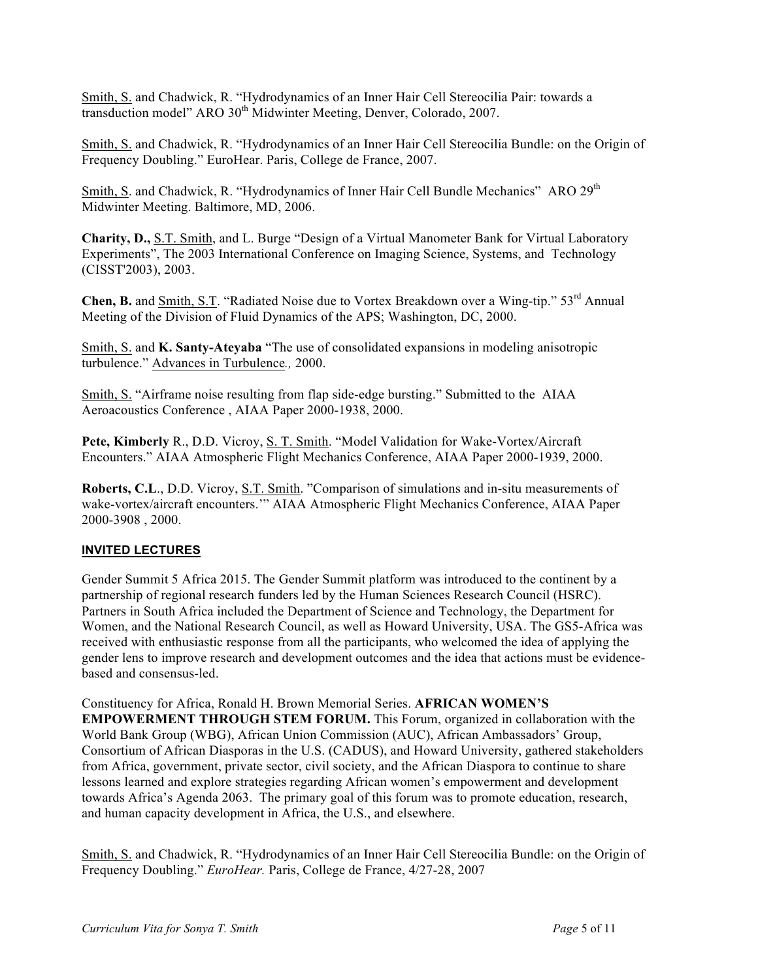Smith, S. and Chadwick, R. "Hydrodynamics of an Inner Hair Cell Stereocilia Pair: towards a transduction model" ARO 30<sup>th</sup> Midwinter Meeting, Denver, Colorado, 2007.

Smith, S. and Chadwick, R. "Hydrodynamics of an Inner Hair Cell Stereocilia Bundle: on the Origin of Frequency Doubling." EuroHear. Paris, College de France, 2007.

Smith, S. and Chadwick, R. "Hydrodynamics of Inner Hair Cell Bundle Mechanics" ARO 29<sup>th</sup> Midwinter Meeting. Baltimore, MD, 2006.

**Charity, D.,** S.T. Smith, and L. Burge "Design of a Virtual Manometer Bank for Virtual Laboratory Experiments", The 2003 International Conference on Imaging Science, Systems, and Technology (CISST'2003), 2003.

Chen, B. and Smith, S.T. "Radiated Noise due to Vortex Breakdown over a Wing-tip." 53<sup>rd</sup> Annual Meeting of the Division of Fluid Dynamics of the APS; Washington, DC, 2000.

Smith, S. and **K. Santy-Ateyaba** "The use of consolidated expansions in modeling anisotropic turbulence." Advances in Turbulence*.,* 2000.

Smith, S. "Airframe noise resulting from flap side-edge bursting." Submitted to the AIAA Aeroacoustics Conference , AIAA Paper 2000-1938, 2000.

**Pete, Kimberly** R., D.D. Vicroy, S. T. Smith. "Model Validation for Wake-Vortex/Aircraft Encounters." AIAA Atmospheric Flight Mechanics Conference, AIAA Paper 2000-1939, 2000.

**Roberts, C.L**., D.D. Vicroy, S.T. Smith. "Comparison of simulations and in-situ measurements of wake-vortex/aircraft encounters.'" AIAA Atmospheric Flight Mechanics Conference, AIAA Paper 2000-3908 , 2000.

### **INVITED LECTURES**

Gender Summit 5 Africa 2015. The Gender Summit platform was introduced to the continent by a partnership of regional research funders led by the Human Sciences Research Council (HSRC). Partners in South Africa included the Department of Science and Technology, the Department for Women, and the National Research Council, as well as Howard University, USA. The GS5-Africa was received with enthusiastic response from all the participants, who welcomed the idea of applying the gender lens to improve research and development outcomes and the idea that actions must be evidencebased and consensus-led.

Constituency for Africa, Ronald H. Brown Memorial Series. **AFRICAN WOMEN'S EMPOWERMENT THROUGH STEM FORUM.** This Forum, organized in collaboration with the World Bank Group (WBG), African Union Commission (AUC), African Ambassadors' Group, Consortium of African Diasporas in the U.S. (CADUS), and Howard University, gathered stakeholders from Africa, government, private sector, civil society, and the African Diaspora to continue to share lessons learned and explore strategies regarding African women's empowerment and development towards Africa's Agenda 2063. The primary goal of this forum was to promote education, research, and human capacity development in Africa, the U.S., and elsewhere.

Smith, S. and Chadwick, R. "Hydrodynamics of an Inner Hair Cell Stereocilia Bundle: on the Origin of Frequency Doubling." *EuroHear.* Paris, College de France, 4/27-28, 2007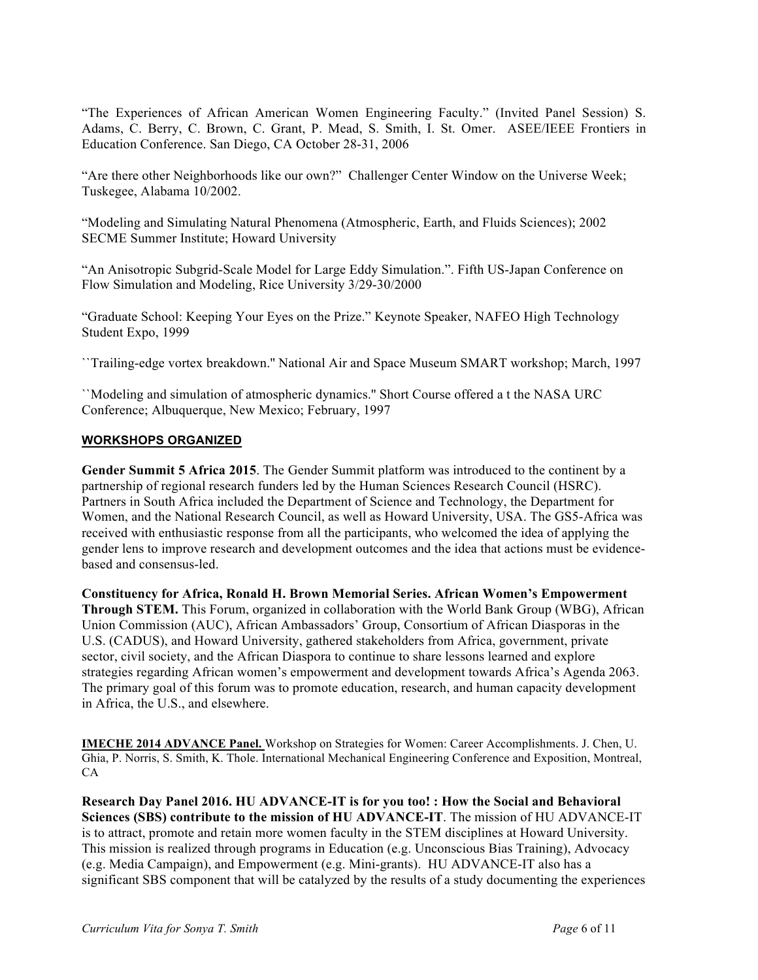"The Experiences of African American Women Engineering Faculty." (Invited Panel Session) S. Adams, C. Berry, C. Brown, C. Grant, P. Mead, S. Smith, I. St. Omer. ASEE/IEEE Frontiers in Education Conference. San Diego, CA October 28-31, 2006

"Are there other Neighborhoods like our own?" Challenger Center Window on the Universe Week; Tuskegee, Alabama 10/2002.

"Modeling and Simulating Natural Phenomena (Atmospheric, Earth, and Fluids Sciences); 2002 SECME Summer Institute; Howard University

"An Anisotropic Subgrid-Scale Model for Large Eddy Simulation.". Fifth US-Japan Conference on Flow Simulation and Modeling, Rice University 3/29-30/2000

"Graduate School: Keeping Your Eyes on the Prize." Keynote Speaker, NAFEO High Technology Student Expo, 1999

``Trailing-edge vortex breakdown.'' National Air and Space Museum SMART workshop; March, 1997

``Modeling and simulation of atmospheric dynamics.'' Short Course offered a t the NASA URC Conference; Albuquerque, New Mexico; February, 1997

### **WORKSHOPS ORGANIZED**

**Gender Summit 5 Africa 2015**. The Gender Summit platform was introduced to the continent by a partnership of regional research funders led by the Human Sciences Research Council (HSRC). Partners in South Africa included the Department of Science and Technology, the Department for Women, and the National Research Council, as well as Howard University, USA. The GS5-Africa was received with enthusiastic response from all the participants, who welcomed the idea of applying the gender lens to improve research and development outcomes and the idea that actions must be evidencebased and consensus-led.

**Constituency for Africa, Ronald H. Brown Memorial Series. African Women's Empowerment Through STEM.** This Forum, organized in collaboration with the World Bank Group (WBG), African Union Commission (AUC), African Ambassadors' Group, Consortium of African Diasporas in the U.S. (CADUS), and Howard University, gathered stakeholders from Africa, government, private sector, civil society, and the African Diaspora to continue to share lessons learned and explore strategies regarding African women's empowerment and development towards Africa's Agenda 2063. The primary goal of this forum was to promote education, research, and human capacity development in Africa, the U.S., and elsewhere.

**IMECHE 2014 ADVANCE Panel.** Workshop on Strategies for Women: Career Accomplishments. J. Chen, U. Ghia, P. Norris, S. Smith, K. Thole. International Mechanical Engineering Conference and Exposition, Montreal, CA

**Research Day Panel 2016. HU ADVANCE-IT is for you too! : How the Social and Behavioral Sciences (SBS) contribute to the mission of HU ADVANCE-IT**. The mission of HU ADVANCE-IT is to attract, promote and retain more women faculty in the STEM disciplines at Howard University. This mission is realized through programs in Education (e.g. Unconscious Bias Training), Advocacy (e.g. Media Campaign), and Empowerment (e.g. Mini-grants). HU ADVANCE-IT also has a significant SBS component that will be catalyzed by the results of a study documenting the experiences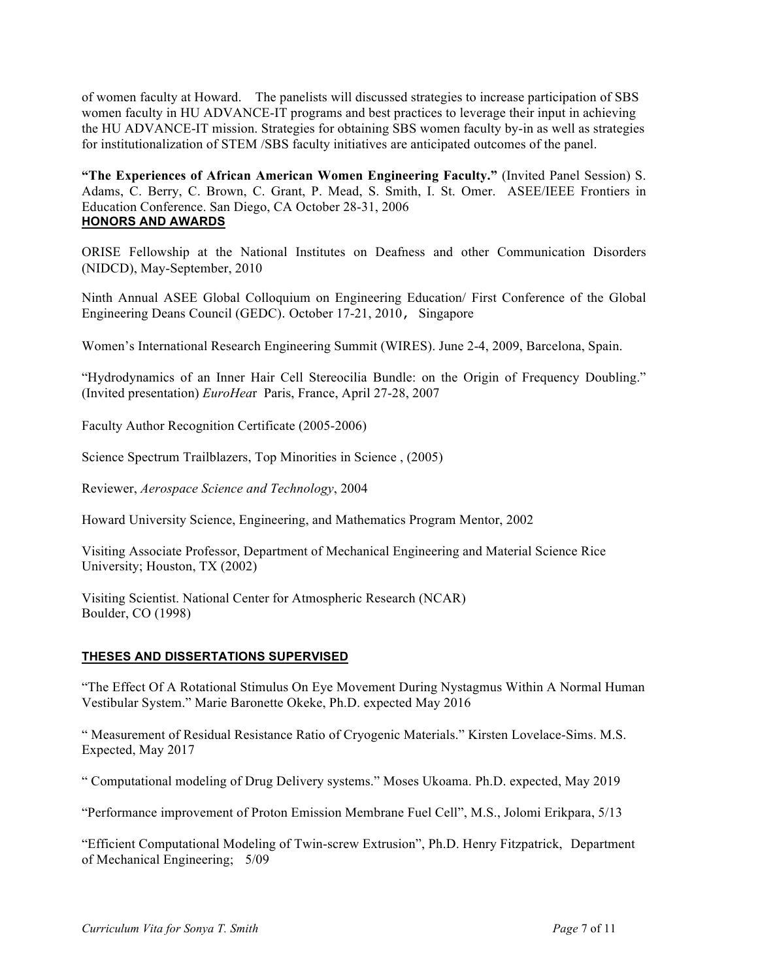of women faculty at Howard. The panelists will discussed strategies to increase participation of SBS women faculty in HU ADVANCE-IT programs and best practices to leverage their input in achieving the HU ADVANCE-IT mission. Strategies for obtaining SBS women faculty by-in as well as strategies for institutionalization of STEM /SBS faculty initiatives are anticipated outcomes of the panel.

**"The Experiences of African American Women Engineering Faculty."** (Invited Panel Session) S. Adams, C. Berry, C. Brown, C. Grant, P. Mead, S. Smith, I. St. Omer. ASEE/IEEE Frontiers in Education Conference. San Diego, CA October 28-31, 2006 **HONORS AND AWARDS**

ORISE Fellowship at the National Institutes on Deafness and other Communication Disorders (NIDCD), May-September, 2010

Ninth Annual ASEE Global Colloquium on Engineering Education/ First Conference of the Global Engineering Deans Council (GEDC). October 17-21, 2010, Singapore

Women's International Research Engineering Summit (WIRES). June 2-4, 2009, Barcelona, Spain.

"Hydrodynamics of an Inner Hair Cell Stereocilia Bundle: on the Origin of Frequency Doubling." (Invited presentation) *EuroHea*r Paris, France, April 27-28, 2007

Faculty Author Recognition Certificate (2005-2006)

Science Spectrum Trailblazers, Top Minorities in Science , (2005)

Reviewer, *Aerospace Science and Technology*, 2004

Howard University Science, Engineering, and Mathematics Program Mentor, 2002

Visiting Associate Professor, Department of Mechanical Engineering and Material Science Rice University; Houston, TX (2002)

Visiting Scientist. National Center for Atmospheric Research (NCAR) Boulder, CO (1998)

### **THESES AND DISSERTATIONS SUPERVISED**

"The Effect Of A Rotational Stimulus On Eye Movement During Nystagmus Within A Normal Human Vestibular System." Marie Baronette Okeke, Ph.D. expected May 2016

" Measurement of Residual Resistance Ratio of Cryogenic Materials." Kirsten Lovelace-Sims. M.S. Expected, May 2017

" Computational modeling of Drug Delivery systems." Moses Ukoama. Ph.D. expected, May 2019

"Performance improvement of Proton Emission Membrane Fuel Cell", M.S., Jolomi Erikpara, 5/13

"Efficient Computational Modeling of Twin-screw Extrusion", Ph.D. Henry Fitzpatrick, Department of Mechanical Engineering; 5/09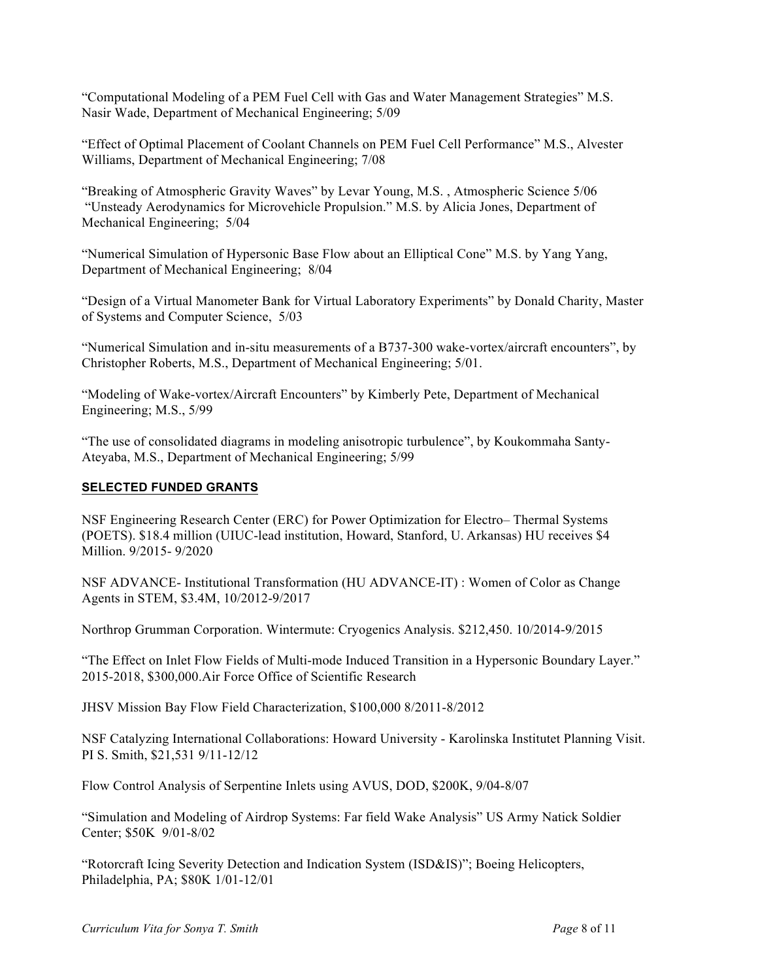"Computational Modeling of a PEM Fuel Cell with Gas and Water Management Strategies" M.S. Nasir Wade, Department of Mechanical Engineering; 5/09

"Effect of Optimal Placement of Coolant Channels on PEM Fuel Cell Performance" M.S., Alvester Williams, Department of Mechanical Engineering; 7/08

"Breaking of Atmospheric Gravity Waves" by Levar Young, M.S. , Atmospheric Science 5/06 "Unsteady Aerodynamics for Microvehicle Propulsion." M.S. by Alicia Jones, Department of Mechanical Engineering; 5/04

"Numerical Simulation of Hypersonic Base Flow about an Elliptical Cone" M.S. by Yang Yang, Department of Mechanical Engineering; 8/04

"Design of a Virtual Manometer Bank for Virtual Laboratory Experiments" by Donald Charity, Master of Systems and Computer Science, 5/03

"Numerical Simulation and in-situ measurements of a B737-300 wake-vortex/aircraft encounters", by Christopher Roberts, M.S., Department of Mechanical Engineering; 5/01.

"Modeling of Wake-vortex/Aircraft Encounters" by Kimberly Pete, Department of Mechanical Engineering; M.S., 5/99

"The use of consolidated diagrams in modeling anisotropic turbulence", by Koukommaha Santy-Ateyaba, M.S., Department of Mechanical Engineering; 5/99

### **SELECTED FUNDED GRANTS**

NSF Engineering Research Center (ERC) for Power Optimization for Electro– Thermal Systems (POETS). \$18.4 million (UIUC-lead institution, Howard, Stanford, U. Arkansas) HU receives \$4 Million. 9/2015- 9/2020

NSF ADVANCE- Institutional Transformation (HU ADVANCE-IT) : Women of Color as Change Agents in STEM, \$3.4M, 10/2012-9/2017

Northrop Grumman Corporation. Wintermute: Cryogenics Analysis. \$212,450. 10/2014-9/2015

"The Effect on Inlet Flow Fields of Multi-mode Induced Transition in a Hypersonic Boundary Layer." 2015-2018, \$300,000.Air Force Office of Scientific Research

JHSV Mission Bay Flow Field Characterization, \$100,000 8/2011-8/2012

NSF Catalyzing International Collaborations: Howard University - Karolinska Institutet Planning Visit. PI S. Smith, \$21,531 9/11-12/12

Flow Control Analysis of Serpentine Inlets using AVUS, DOD, \$200K, 9/04-8/07

"Simulation and Modeling of Airdrop Systems: Far field Wake Analysis" US Army Natick Soldier Center; \$50K 9/01-8/02

"Rotorcraft Icing Severity Detection and Indication System (ISD&IS)"; Boeing Helicopters, Philadelphia, PA; \$80K 1/01-12/01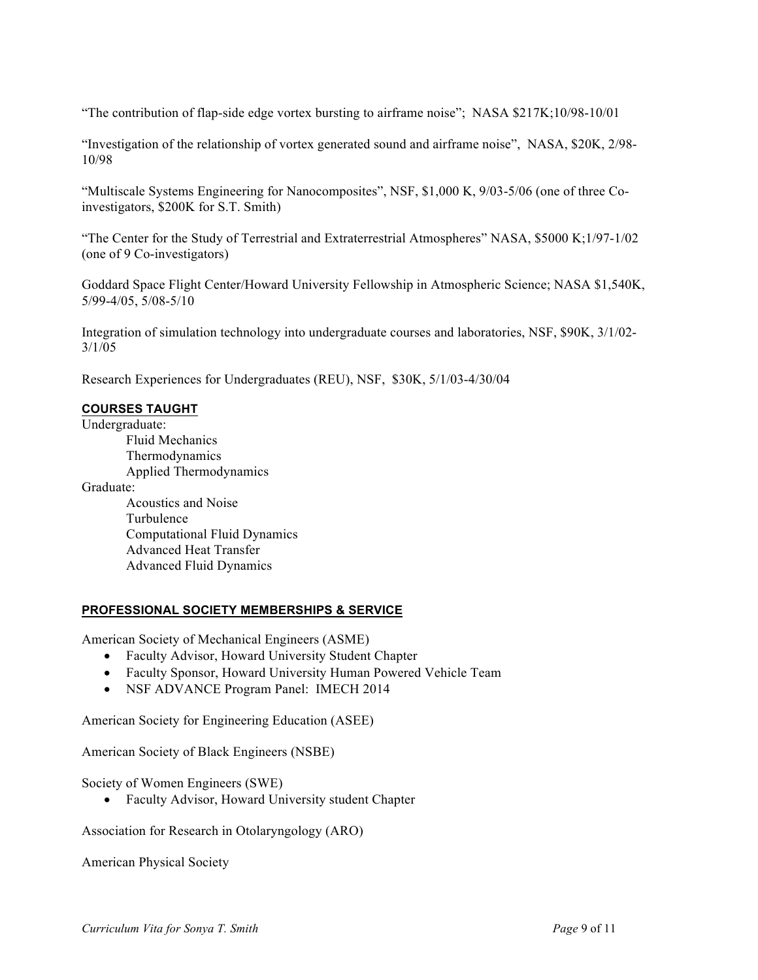"The contribution of flap-side edge vortex bursting to airframe noise"; NASA \$217K;10/98-10/01

"Investigation of the relationship of vortex generated sound and airframe noise", NASA, \$20K, 2/98- 10/98

"Multiscale Systems Engineering for Nanocomposites", NSF, \$1,000 K, 9/03-5/06 (one of three Coinvestigators, \$200K for S.T. Smith)

"The Center for the Study of Terrestrial and Extraterrestrial Atmospheres" NASA, \$5000 K;1/97-1/02 (one of 9 Co-investigators)

Goddard Space Flight Center/Howard University Fellowship in Atmospheric Science; NASA \$1,540K, 5/99-4/05, 5/08-5/10

Integration of simulation technology into undergraduate courses and laboratories, NSF, \$90K, 3/1/02- 3/1/05

Research Experiences for Undergraduates (REU), NSF, \$30K, 5/1/03-4/30/04

#### **COURSES TAUGHT**

Undergraduate: Fluid Mechanics Thermodynamics Applied Thermodynamics Graduate:

> Acoustics and Noise Turbulence Computational Fluid Dynamics Advanced Heat Transfer Advanced Fluid Dynamics

#### **PROFESSIONAL SOCIETY MEMBERSHIPS & SERVICE**

American Society of Mechanical Engineers (ASME)

- Faculty Advisor, Howard University Student Chapter
- Faculty Sponsor, Howard University Human Powered Vehicle Team
- NSF ADVANCE Program Panel: IMECH 2014

American Society for Engineering Education (ASEE)

American Society of Black Engineers (NSBE)

Society of Women Engineers (SWE)

• Faculty Advisor, Howard University student Chapter

Association for Research in Otolaryngology (ARO)

American Physical Society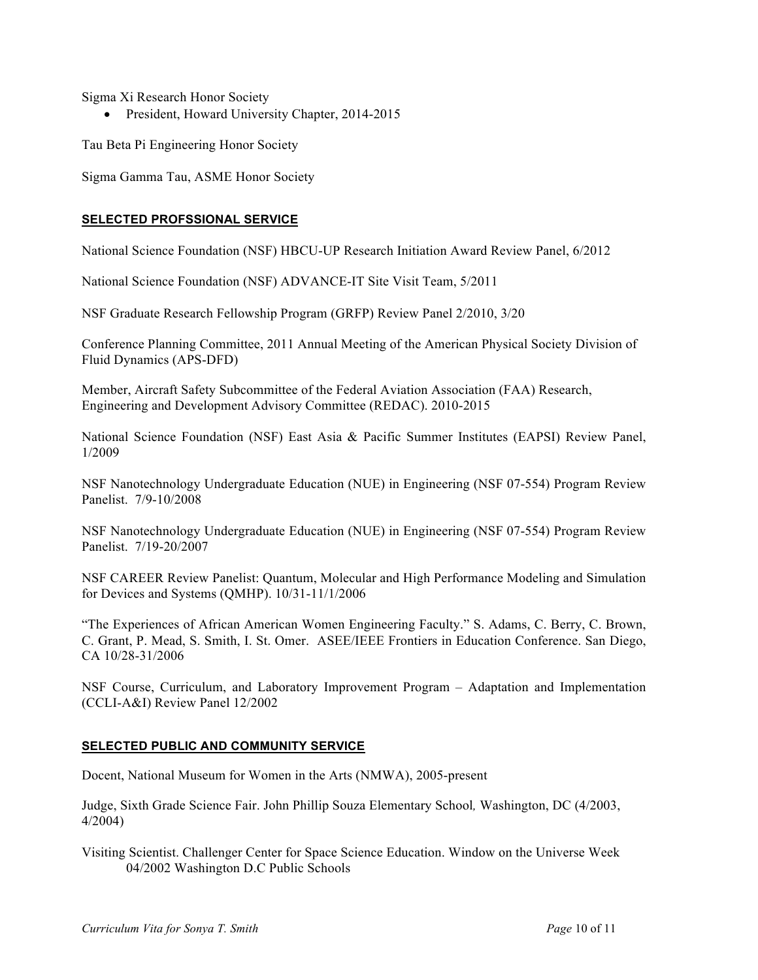Sigma Xi Research Honor Society

• President, Howard University Chapter, 2014-2015

Tau Beta Pi Engineering Honor Society

Sigma Gamma Tau, ASME Honor Society

### **SELECTED PROFSSIONAL SERVICE**

National Science Foundation (NSF) HBCU-UP Research Initiation Award Review Panel, 6/2012

National Science Foundation (NSF) ADVANCE-IT Site Visit Team, 5/2011

NSF Graduate Research Fellowship Program (GRFP) Review Panel 2/2010, 3/20

Conference Planning Committee, 2011 Annual Meeting of the American Physical Society Division of Fluid Dynamics (APS-DFD)

Member, Aircraft Safety Subcommittee of the Federal Aviation Association (FAA) Research, Engineering and Development Advisory Committee (REDAC). 2010-2015

National Science Foundation (NSF) East Asia & Pacific Summer Institutes (EAPSI) Review Panel, 1/2009

NSF Nanotechnology Undergraduate Education (NUE) in Engineering (NSF 07-554) Program Review Panelist. 7/9-10/2008

NSF Nanotechnology Undergraduate Education (NUE) in Engineering (NSF 07-554) Program Review Panelist. 7/19-20/2007

NSF CAREER Review Panelist: Quantum, Molecular and High Performance Modeling and Simulation for Devices and Systems (QMHP). 10/31-11/1/2006

"The Experiences of African American Women Engineering Faculty." S. Adams, C. Berry, C. Brown, C. Grant, P. Mead, S. Smith, I. St. Omer. ASEE/IEEE Frontiers in Education Conference. San Diego, CA 10/28-31/2006

NSF Course, Curriculum, and Laboratory Improvement Program – Adaptation and Implementation (CCLI-A&I) Review Panel 12/2002

### **SELECTED PUBLIC AND COMMUNITY SERVICE**

Docent, National Museum for Women in the Arts (NMWA), 2005-present

Judge, Sixth Grade Science Fair. John Phillip Souza Elementary School*,* Washington, DC (4/2003, 4/2004)

Visiting Scientist. Challenger Center for Space Science Education. Window on the Universe Week 04/2002 Washington D.C Public Schools